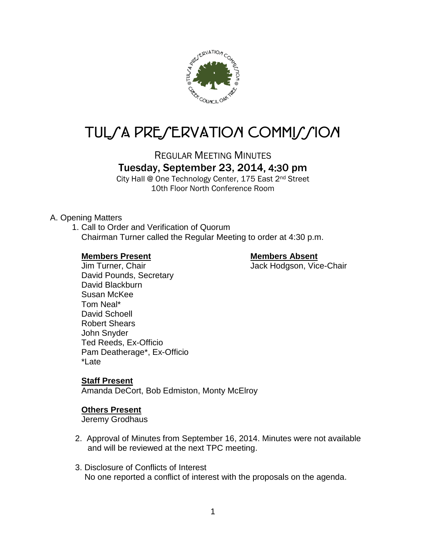

# TUL/A PRE/ERVATION COMMI//ION

REGULAR MEETING MINUTES

## Tuesday, September 23, 2014, 4:30 pm

City Hall @ One Technology Center, 175 East 2nd Street 10th Floor North Conference Room

#### A. Opening Matters

1. Call to Order and Verification of Quorum Chairman Turner called the Regular Meeting to order at 4:30 p.m.

#### **Members Present Members Absent**

Jim Turner, Chair **Jack Hodgson, Vice-Chair** David Pounds, Secretary David Blackburn Susan McKee Tom Neal\* David Schoell Robert Shears John Snyder Ted Reeds, Ex-Officio Pam Deatherage\*, Ex-Officio \*Late

### **Staff Present**

Amanda DeCort, Bob Edmiston, Monty McElroy

#### **Others Present**

Jeremy Grodhaus

- 2. Approval of Minutes from September 16, 2014. Minutes were not available and will be reviewed at the next TPC meeting.
- 3. Disclosure of Conflicts of Interest No one reported a conflict of interest with the proposals on the agenda.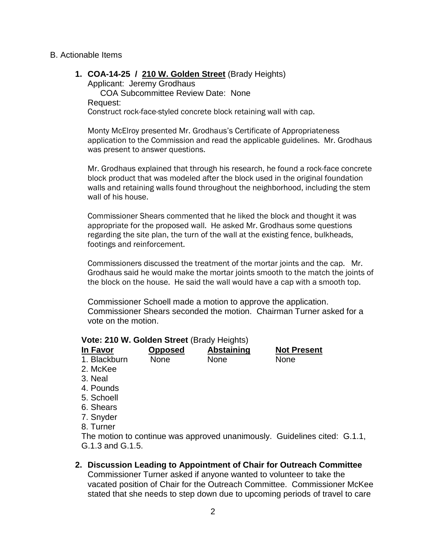#### B. Actionable Items

**1. COA-14-25 / 210 W. Golden Street** (Brady Heights) Applicant: Jeremy Grodhaus

COA Subcommittee Review Date: None Request: Construct rock-face-styled concrete block retaining wall with cap.

Monty McElroy presented Mr. Grodhaus's Certificate of Appropriateness application to the Commission and read the applicable guidelines. Mr. Grodhaus was present to answer questions.

Mr. Grodhaus explained that through his research, he found a rock-face concrete block product that was modeled after the block used in the original foundation walls and retaining walls found throughout the neighborhood, including the stem wall of his house.

Commissioner Shears commented that he liked the block and thought it was appropriate for the proposed wall. He asked Mr. Grodhaus some questions regarding the site plan, the turn of the wall at the existing fence, bulkheads, footings and reinforcement.

Commissioners discussed the treatment of the mortar joints and the cap. Mr. Grodhaus said he would make the mortar joints smooth to the match the joints of the block on the house. He said the wall would have a cap with a smooth top.

Commissioner Schoell made a motion to approve the application. Commissioner Shears seconded the motion. Chairman Turner asked for a vote on the motion.

#### **Vote: 210 W. Golden Street** (Brady Heights)

| In Favor     | <b>Opposed</b> | <b>Abstaining</b> | <b>Not Present</b> |
|--------------|----------------|-------------------|--------------------|
| 1. Blackburn | <b>None</b>    | <b>None</b>       | <b>None</b>        |
| 2. McKee     |                |                   |                    |

- 
- 3. Neal
- 4. Pounds
- 5. Schoell
- 6. Shears
- 7. Snyder
- 8. Turner

The motion to continue was approved unanimously. Guidelines cited: G.1.1, G.1.3 and G.1.5.

#### **2. Discussion Leading to Appointment of Chair for Outreach Committee**

Commissioner Turner asked if anyone wanted to volunteer to take the vacated position of Chair for the Outreach Committee. Commissioner McKee stated that she needs to step down due to upcoming periods of travel to care